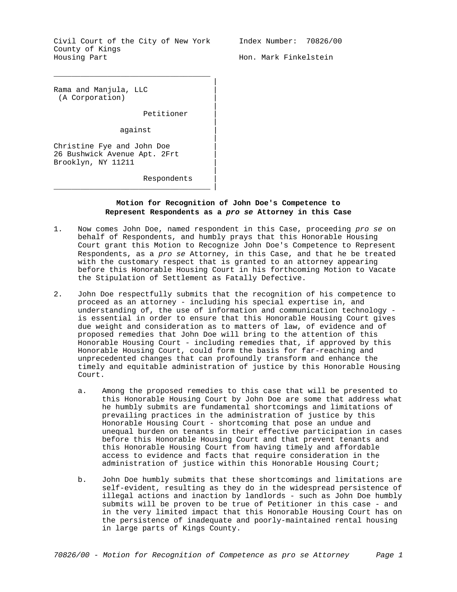Civil Court of the City of New York County of Kings Housing Part

\_\_\_\_\_\_\_\_\_\_\_\_\_\_\_\_\_\_\_\_\_\_\_\_\_\_\_\_\_\_\_\_\_\_\_

Index Number: 70826/00

Hon. Mark Finkelstein

Rama and Manjula, LLC | (A Corporation) |

Petitioner |

against |

 $\overline{\phantom{a}}$  , and the contract of the contract of the contract of  $\overline{\phantom{a}}$  ,  $\overline{\phantom{a}}$ 

Christine Fye and John Doe | 26 Bushwick Avenue Apt. 2Frt | Brooklyn, NY 11211 |

Respondents |

## **Motion for Recognition of John Doe's Competence to Represent Respondents as a** *pro se* **Attorney in this Case**

|

|

|

|

|

- 1. Now comes John Doe, named respondent in this Case, proceeding *pro se* on behalf of Respondents, and humbly prays that this Honorable Housing Court grant this Motion to Recognize John Doe's Competence to Represent Respondents, as a *pro se* Attorney, in this Case, and that he be treated with the customary respect that is granted to an attorney appearing before this Honorable Housing Court in his forthcoming Motion to Vacate the Stipulation of Settlement as Fatally Defective.
- 2. John Doe respectfully submits that the recognition of his competence to proceed as an attorney - including his special expertise in, and understanding of, the use of information and communication technology is essential in order to ensure that this Honorable Housing Court gives due weight and consideration as to matters of law, of evidence and of proposed remedies that John Doe will bring to the attention of this Honorable Housing Court - including remedies that, if approved by this Honorable Housing Court, could form the basis for far-reaching and unprecedented changes that can profoundly transform and enhance the timely and equitable administration of justice by this Honorable Housing Court.
	- a. Among the proposed remedies to this case that will be presented to this Honorable Housing Court by John Doe are some that address what he humbly submits are fundamental shortcomings and limitations of prevailing practices in the administration of justice by this Honorable Housing Court - shortcoming that pose an undue and unequal burden on tenants in their effective participation in cases before this Honorable Housing Court and that prevent tenants and this Honorable Housing Court from having timely and affordable access to evidence and facts that require consideration in the administration of justice within this Honorable Housing Court;
	- b. John Doe humbly submits that these shortcomings and limitations are self-evident, resulting as they do in the widespread persistence of illegal actions and inaction by landlords - such as John Doe humbly submits will be proven to be true of Petitioner in this case - and in the very limited impact that this Honorable Housing Court has on the persistence of inadequate and poorly-maintained rental housing in large parts of Kings County.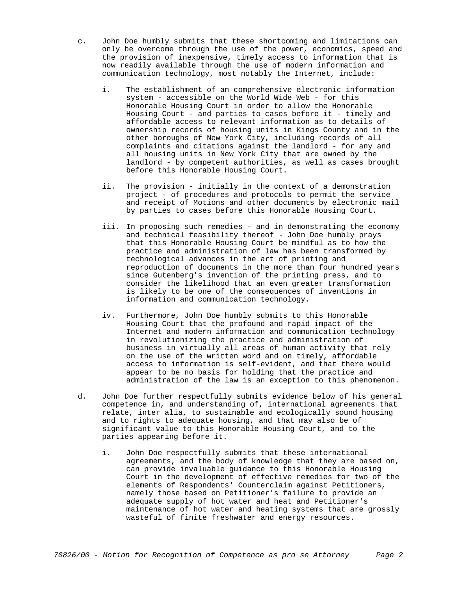- c. John Doe humbly submits that these shortcoming and limitations can only be overcome through the use of the power, economics, speed and the provision of inexpensive, timely access to information that is now readily available through the use of modern information and communication technology, most notably the Internet, include:
	- i. The establishment of an comprehensive electronic information system - accessible on the World Wide Web - for this Honorable Housing Court in order to allow the Honorable Housing Court - and parties to cases before it - timely and affordable access to relevant information as to details of ownership records of housing units in Kings County and in the other boroughs of New York City, including records of all complaints and citations against the landlord - for any and all housing units in New York City that are owned by the landlord - by competent authorities, as well as cases brought before this Honorable Housing Court.
	- ii. The provision initially in the context of a demonstration project - of procedures and protocols to permit the service and receipt of Motions and other documents by electronic mail by parties to cases before this Honorable Housing Court.
	- iii. In proposing such remedies and in demonstrating the economy and technical feasibility thereof - John Doe humbly prays that this Honorable Housing Court be mindful as to how the practice and administration of law has been transformed by technological advances in the art of printing and reproduction of documents in the more than four hundred years since Gutenberg's invention of the printing press, and to consider the likelihood that an even greater transformation is likely to be one of the consequences of inventions in information and communication technology.
	- iv. Furthermore, John Doe humbly submits to this Honorable Housing Court that the profound and rapid impact of the Internet and modern information and communication technology in revolutionizing the practice and administration of business in virtually all areas of human activity that rely on the use of the written word and on timely, affordable access to information is self-evident, and that there would appear to be no basis for holding that the practice and administration of the law is an exception to this phenomenon.
- d. John Doe further respectfully submits evidence below of his general competence in, and understanding of, international agreements that relate, inter alia, to sustainable and ecologically sound housing and to rights to adequate housing, and that may also be of significant value to this Honorable Housing Court, and to the parties appearing before it.
	- i. John Doe respectfully submits that these international agreements, and the body of knowledge that they are based on, can provide invaluable guidance to this Honorable Housing Court in the development of effective remedies for two of the elements of Respondents' Counterclaim against Petitioners, namely those based on Petitioner's failure to provide an adequate supply of hot water and heat and Petitioner's maintenance of hot water and heating systems that are grossly wasteful of finite freshwater and energy resources.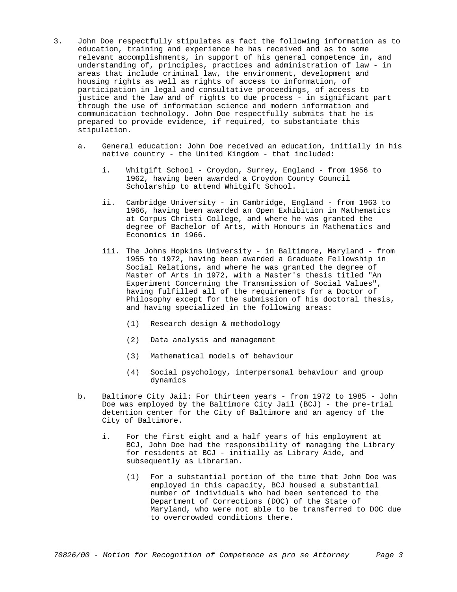- 3. John Doe respectfully stipulates as fact the following information as to education, training and experience he has received and as to some relevant accomplishments, in support of his general competence in, and understanding of, principles, practices and administration of law - in areas that include criminal law, the environment, development and housing rights as well as rights of access to information, of participation in legal and consultative proceedings, of access to justice and the law and of rights to due process - in significant part through the use of information science and modern information and communication technology. John Doe respectfully submits that he is prepared to provide evidence, if required, to substantiate this stipulation.
	- a. General education: John Doe received an education, initially in his native country - the United Kingdom - that included:
		- i. Whitgift School Croydon, Surrey, England from 1956 to 1962, having been awarded a Croydon County Council Scholarship to attend Whitgift School.
		- ii. Cambridge University in Cambridge, England from 1963 to 1966, having been awarded an Open Exhibition in Mathematics at Corpus Christi College, and where he was granted the degree of Bachelor of Arts, with Honours in Mathematics and Economics in 1966.
		- iii. The Johns Hopkins University in Baltimore, Maryland from 1955 to 1972, having been awarded a Graduate Fellowship in Social Relations, and where he was granted the degree of Master of Arts in 1972, with a Master's thesis titled "An Experiment Concerning the Transmission of Social Values", having fulfilled all of the requirements for a Doctor of Philosophy except for the submission of his doctoral thesis, and having specialized in the following areas:
			- (1) Research design & methodology
			- (2) Data analysis and management
			- (3) Mathematical models of behaviour
			- (4) Social psychology, interpersonal behaviour and group dynamics
	- b. Baltimore City Jail: For thirteen years from 1972 to 1985 John Doe was employed by the Baltimore City Jail (BCJ) - the pre-trial detention center for the City of Baltimore and an agency of the City of Baltimore.
		- i. For the first eight and a half years of his employment at BCJ, John Doe had the responsibility of managing the Library for residents at BCJ - initially as Library Aide, and subsequently as Librarian.
			- (1) For a substantial portion of the time that John Doe was employed in this capacity, BCJ housed a substantial number of individuals who had been sentenced to the Department of Corrections (DOC) of the State of Maryland, who were not able to be transferred to DOC due to overcrowded conditions there.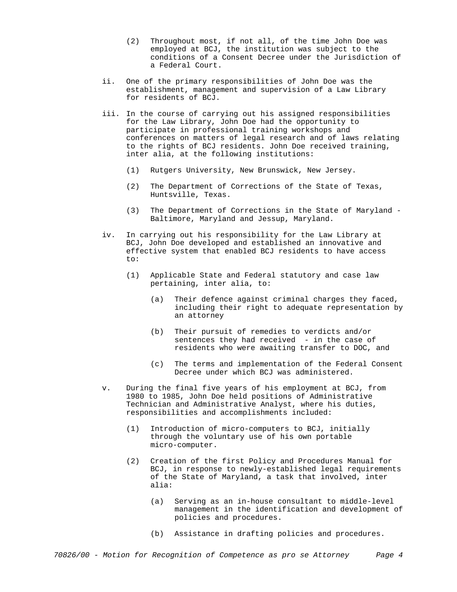- (2) Throughout most, if not all, of the time John Doe was employed at BCJ, the institution was subject to the conditions of a Consent Decree under the Jurisdiction of a Federal Court.
- ii. One of the primary responsibilities of John Doe was the establishment, management and supervision of a Law Library for residents of BCJ.
- iii. In the course of carrying out his assigned responsibilities for the Law Library, John Doe had the opportunity to participate in professional training workshops and conferences on matters of legal research and of laws relating to the rights of BCJ residents. John Doe received training, inter alia, at the following institutions:
	- (1) Rutgers University, New Brunswick, New Jersey.
	- (2) The Department of Corrections of the State of Texas, Huntsville, Texas.
	- (3) The Department of Corrections in the State of Maryland Baltimore, Maryland and Jessup, Maryland.
- iv. In carrying out his responsibility for the Law Library at BCJ, John Doe developed and established an innovative and effective system that enabled BCJ residents to have access to:
	- (1) Applicable State and Federal statutory and case law pertaining, inter alia, to:
		- (a) Their defence against criminal charges they faced, including their right to adequate representation by an attorney
		- (b) Their pursuit of remedies to verdicts and/or sentences they had received - in the case of residents who were awaiting transfer to DOC, and
		- (c) The terms and implementation of the Federal Consent Decree under which BCJ was administered.
- v. During the final five years of his employment at BCJ, from 1980 to 1985, John Doe held positions of Administrative Technician and Administrative Analyst, where his duties, responsibilities and accomplishments included:
	- (1) Introduction of micro-computers to BCJ, initially through the voluntary use of his own portable micro-computer.
	- (2) Creation of the first Policy and Procedures Manual for BCJ, in response to newly-established legal requirements of the State of Maryland, a task that involved, inter alia:
		- (a) Serving as an in-house consultant to middle-level management in the identification and development of policies and procedures.
		- (b) Assistance in drafting policies and procedures.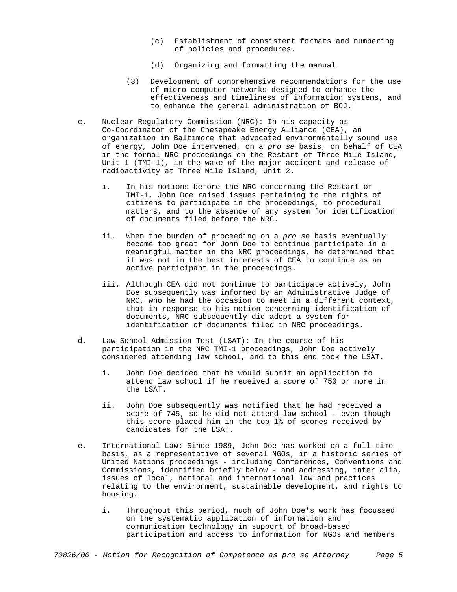- (c) Establishment of consistent formats and numbering of policies and procedures.
- (d) Organizing and formatting the manual.
- (3) Development of comprehensive recommendations for the use of micro-computer networks designed to enhance the effectiveness and timeliness of information systems, and to enhance the general administration of BCJ.
- c. Nuclear Regulatory Commission (NRC): In his capacity as Co-Coordinator of the Chesapeake Energy Alliance (CEA), an organization in Baltimore that advocated environmentally sound use of energy, John Doe intervened, on a *pro se* basis, on behalf of CEA in the formal NRC proceedings on the Restart of Three Mile Island, Unit 1 (TMI-1), in the wake of the major accident and release of radioactivity at Three Mile Island, Unit 2.
	- i. In his motions before the NRC concerning the Restart of TMI-1, John Doe raised issues pertaining to the rights of citizens to participate in the proceedings, to procedural matters, and to the absence of any system for identification of documents filed before the NRC.
	- ii. When the burden of proceeding on a *pro se* basis eventually became too great for John Doe to continue participate in a meaningful matter in the NRC proceedings, he determined that it was not in the best interests of CEA to continue as an active participant in the proceedings.
	- iii. Although CEA did not continue to participate actively, John Doe subsequently was informed by an Administrative Judge of NRC, who he had the occasion to meet in a different context, that in response to his motion concerning identification of documents, NRC subsequently did adopt a system for identification of documents filed in NRC proceedings.
- d. Law School Admission Test (LSAT): In the course of his participation in the NRC TMI-1 proceedings, John Doe actively considered attending law school, and to this end took the LSAT.
	- i. John Doe decided that he would submit an application to attend law school if he received a score of 750 or more in the LSAT.
	- ii. John Doe subsequently was notified that he had received a score of 745, so he did not attend law school - even though this score placed him in the top 1% of scores received by candidates for the LSAT.
- e. International Law: Since 1989, John Doe has worked on a full-time basis, as a representative of several NGOs, in a historic series of United Nations proceedings - including Conferences, Conventions and Commissions, identified briefly below - and addressing, inter alia, issues of local, national and international law and practices relating to the environment, sustainable development, and rights to housing.
	- i. Throughout this period, much of John Doe's work has focussed on the systematic application of information and communication technology in support of broad-based participation and access to information for NGOs and members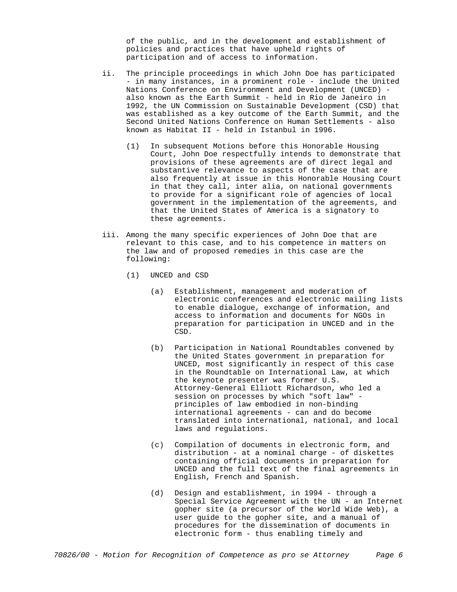of the public, and in the development and establishment of policies and practices that have upheld rights of participation and of access to information.

- ii. The principle proceedings in which John Doe has participated - in many instances, in a prominent role - include the United Nations Conference on Environment and Development (UNCED) also known as the Earth Summit - held in Rio de Janeiro in 1992, the UN Commission on Sustainable Development (CSD) that was established as a key outcome of the Earth Summit, and the Second United Nations Conference on Human Settlements - also known as Habitat II - held in Istanbul in 1996.
	- (1) In subsequent Motions before this Honorable Housing Court, John Doe respectfully intends to demonstrate that provisions of these agreements are of direct legal and substantive relevance to aspects of the case that are also frequently at issue in this Honorable Housing Court in that they call, inter alia, on national governments to provide for a significant role of agencies of local government in the implementation of the agreements, and that the United States of America is a signatory to these agreements.
- iii. Among the many specific experiences of John Doe that are relevant to this case, and to his competence in matters on the law and of proposed remedies in this case are the following:
	- (1) UNCED and CSD
		- (a) Establishment, management and moderation of electronic conferences and electronic mailing lists to enable dialogue, exchange of information, and access to information and documents for NGOs in preparation for participation in UNCED and in the CSD.
		- (b) Participation in National Roundtables convened by the United States government in preparation for UNCED, most significantly in respect of this case in the Roundtable on International Law, at which the keynote presenter was former U.S. Attorney-General Elliott Richardson, who led a session on processes by which "soft law" principles of law embodied in non-binding international agreements - can and do become translated into international, national, and local laws and regulations.
		- (c) Compilation of documents in electronic form, and distribution - at a nominal charge - of diskettes containing official documents in preparation for UNCED and the full text of the final agreements in English, French and Spanish.
		- (d) Design and establishment, in 1994 through a Special Service Agreement with the UN - an Internet gopher site (a precursor of the World Wide Web), a user guide to the gopher site, and a manual of procedures for the dissemination of documents in electronic form - thus enabling timely and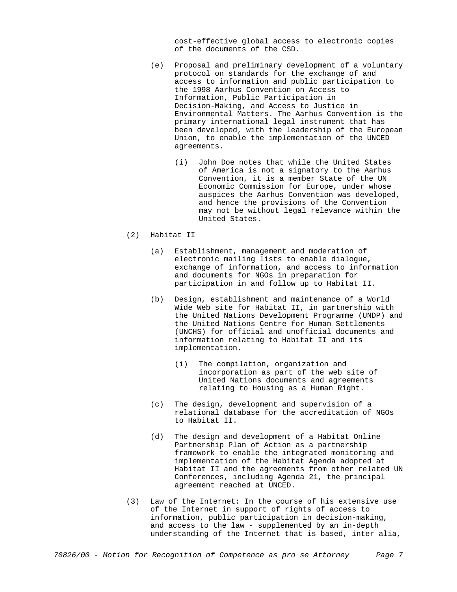cost-effective global access to electronic copies of the documents of the CSD.

- (e) Proposal and preliminary development of a voluntary protocol on standards for the exchange of and access to information and public participation to the 1998 Aarhus Convention on Access to Information, Public Participation in Decision-Making, and Access to Justice in Environmental Matters. The Aarhus Convention is the primary international legal instrument that has been developed, with the leadership of the European Union, to enable the implementation of the UNCED agreements.
	- (i) John Doe notes that while the United States of America is not a signatory to the Aarhus Convention, it is a member State of the UN Economic Commission for Europe, under whose auspices the Aarhus Convention was developed, and hence the provisions of the Convention may not be without legal relevance within the United States.
- (2) Habitat II
	- (a) Establishment, management and moderation of electronic mailing lists to enable dialogue, exchange of information, and access to information and documents for NGOs in preparation for participation in and follow up to Habitat II.
	- (b) Design, establishment and maintenance of a World Wide Web site for Habitat II, in partnership with the United Nations Development Programme (UNDP) and the United Nations Centre for Human Settlements (UNCHS) for official and unofficial documents and information relating to Habitat II and its implementation.
		- (i) The compilation, organization and incorporation as part of the web site of United Nations documents and agreements relating to Housing as a Human Right.
	- (c) The design, development and supervision of a relational database for the accreditation of NGOs to Habitat II.
	- (d) The design and development of a Habitat Online Partnership Plan of Action as a partnership framework to enable the integrated monitoring and implementation of the Habitat Agenda adopted at Habitat II and the agreements from other related UN Conferences, including Agenda 21, the principal agreement reached at UNCED.
- (3) Law of the Internet: In the course of his extensive use of the Internet in support of rights of access to information, public participation in decision-making, and access to the law - supplemented by an in-depth understanding of the Internet that is based, inter alia,